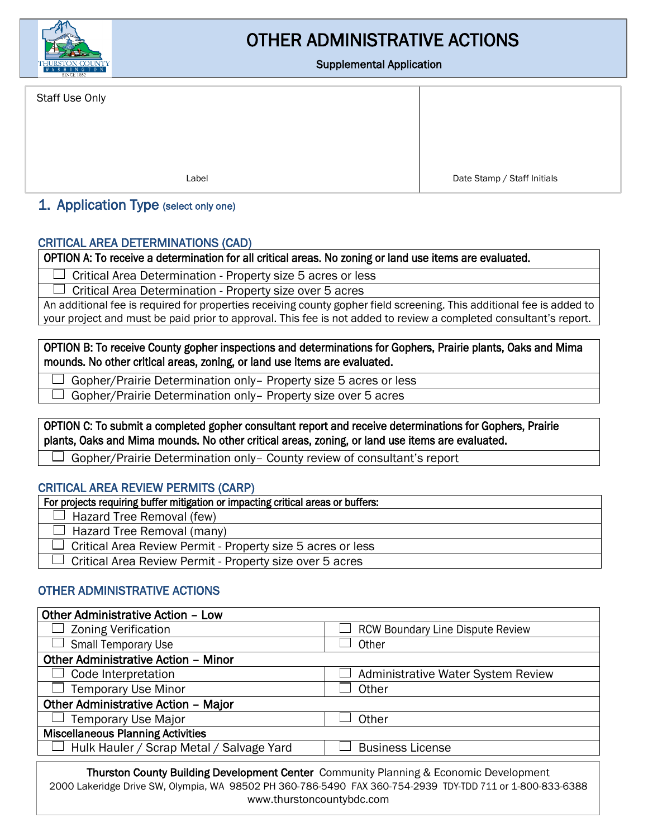

# OTHER ADMINISTRATIVE ACTIONS

#### Supplemental Application

Staff Use Only

I

Label Date Stamp / Staff Initials

I

#### 1. Application Type (select only one)

#### CRITICAL AREA DETERMINATIONS (CAD)

OPTION A: To receive a determination for all critical areas. No zoning or land use items are evaluated.

Critical Area Determination - Property size 5 acres or less  $\Box$ 

 $\Box$ Critical Area Determination - Property size over 5 acres

An additional fee is required for properties receiving county gopher field screening. This additional fee is added to your project and must be paid prior to approval. This fee is not added to review a completed consultant's report.

OPTION B: To receive County gopher inspections and determinations for Gophers, Prairie plants, Oaks and Mima mounds. No other critical areas, zoning, or land use items are evaluated.

Gopher/Prairie Determination only– Property size 5 acres or less

Gopher/Prairie Determination only– Property size over 5 acres

OPTION C: To submit a completed gopher consultant report and receive determinations for Gophers, Prairie plants, Oaks and Mima mounds. No other critical areas, zoning, or land use items are evaluated.

Gopher/Prairie Determination only– County review of consultant's report

#### CRITICAL AREA REVIEW PERMITS (CARP)

| For projects requiring buffer mitigation or impacting critical areas or buffers: |  |
|----------------------------------------------------------------------------------|--|
| Hazard Tree Removal (few)                                                        |  |
| $\Box$ Hazard Tree Removal (many)                                                |  |
| Critical Area Review Permit - Property size 5 acres or less                      |  |
| Critical Area Review Permit - Property size over 5 acres                         |  |

#### OTHER ADMINISTRATIVE ACTIONS

| <b>Other Administrative Action - Low</b>                                                     |                                           |  |
|----------------------------------------------------------------------------------------------|-------------------------------------------|--|
| <b>Zoning Verification</b>                                                                   | <b>RCW Boundary Line Dispute Review</b>   |  |
| <b>Small Temporary Use</b>                                                                   | Other                                     |  |
| <b>Other Administrative Action - Minor</b>                                                   |                                           |  |
| Code Interpretation                                                                          | <b>Administrative Water System Review</b> |  |
| <b>Temporary Use Minor</b>                                                                   | Other                                     |  |
| Other Administrative Action - Major                                                          |                                           |  |
| Temporary Use Major                                                                          | Other                                     |  |
| <b>Miscellaneous Planning Activities</b>                                                     |                                           |  |
| Hulk Hauler / Scrap Metal / Salvage Yard                                                     | <b>Business License</b>                   |  |
| <b>Thurston County Building Development Center</b> Community Planning & Economic Development |                                           |  |

Thurston County Building Development Center Community Planning & Economic Development 2000 Lakeridge Drive SW, Olympia, WA 98502 PH 360-786-5490 FAX 360-754-2939 TDY-TDD 711 or 1-800-833-6388 www.thurstoncountybdc.com